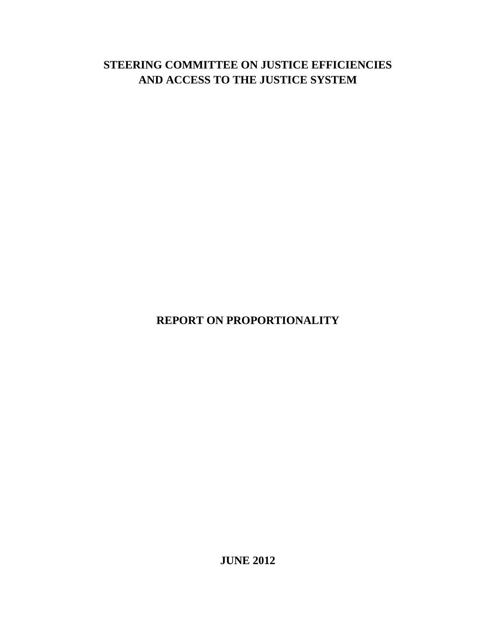# **STEERING COMMITTEE ON JUSTICE EFFICIENCIES AND ACCESS TO THE JUSTICE SYSTEM**

**REPORT ON PROPORTIONALITY**

**JUNE 2012**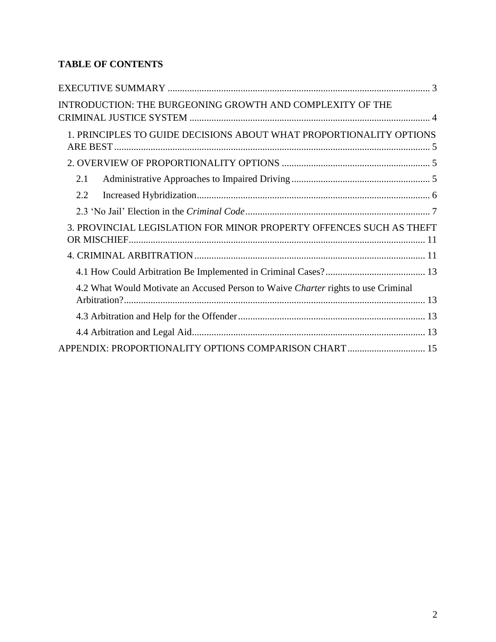## **TABLE OF CONTENTS**

| INTRODUCTION: THE BURGEONING GROWTH AND COMPLEXITY OF THE                         |
|-----------------------------------------------------------------------------------|
| 1. PRINCIPLES TO GUIDE DECISIONS ABOUT WHAT PROPORTIONALITY OPTIONS               |
|                                                                                   |
| 2.1                                                                               |
| 2.2                                                                               |
|                                                                                   |
| 3. PROVINCIAL LEGISLATION FOR MINOR PROPERTY OFFENCES SUCH AS THEFT               |
|                                                                                   |
|                                                                                   |
| 4.2 What Would Motivate an Accused Person to Waive Charter rights to use Criminal |
|                                                                                   |
|                                                                                   |
| APPENDIX: PROPORTIONALITY OPTIONS COMPARISON CHART 15                             |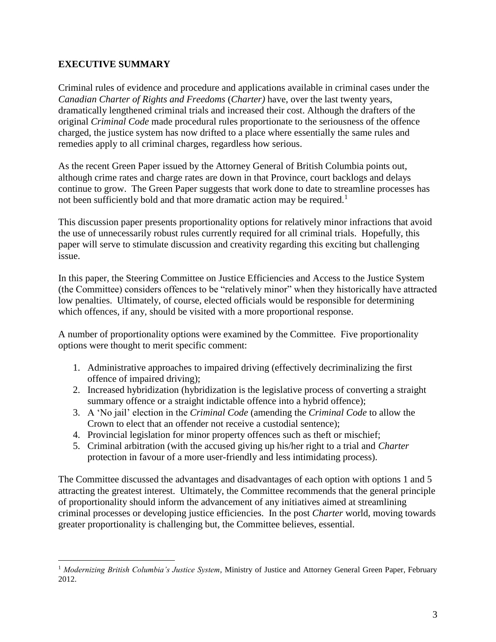#### <span id="page-2-0"></span>**EXECUTIVE SUMMARY**

 $\overline{a}$ 

Criminal rules of evidence and procedure and applications available in criminal cases under the *Canadian Charter of Rights and Freedoms* (*Charter)* have, over the last twenty years, dramatically lengthened criminal trials and increased their cost. Although the drafters of the original *Criminal Code* made procedural rules proportionate to the seriousness of the offence charged, the justice system has now drifted to a place where essentially the same rules and remedies apply to all criminal charges, regardless how serious.

As the recent Green Paper issued by the Attorney General of British Columbia points out, although crime rates and charge rates are down in that Province, court backlogs and delays continue to grow. The Green Paper suggests that work done to date to streamline processes has not been sufficiently bold and that more dramatic action may be required.<sup>1</sup>

This discussion paper presents proportionality options for relatively minor infractions that avoid the use of unnecessarily robust rules currently required for all criminal trials. Hopefully, this paper will serve to stimulate discussion and creativity regarding this exciting but challenging issue.

In this paper, the Steering Committee on Justice Efficiencies and Access to the Justice System (the Committee) considers offences to be "relatively minor" when they historically have attracted low penalties. Ultimately, of course, elected officials would be responsible for determining which offences, if any, should be visited with a more proportional response.

A number of proportionality options were examined by the Committee. Five proportionality options were thought to merit specific comment:

- 1. Administrative approaches to impaired driving (effectively decriminalizing the first offence of impaired driving);
- 2. Increased hybridization (hybridization is the legislative process of converting a straight summary offence or a straight indictable offence into a hybrid offence);
- 3. A 'No jail' election in the *Criminal Code* (amending the *Criminal Code* to allow the Crown to elect that an offender not receive a custodial sentence);
- 4. Provincial legislation for minor property offences such as theft or mischief;
- 5. Criminal arbitration (with the accused giving up his/her right to a trial and *Charter* protection in favour of a more user-friendly and less intimidating process).

The Committee discussed the advantages and disadvantages of each option with options 1 and 5 attracting the greatest interest. Ultimately, the Committee recommends that the general principle of proportionality should inform the advancement of any initiatives aimed at streamlining criminal processes or developing justice efficiencies. In the post *Charter* world, moving towards greater proportionality is challenging but, the Committee believes, essential.

<sup>1</sup> *Modernizing British Columbia's Justice System*, Ministry of Justice and Attorney General Green Paper, February 2012.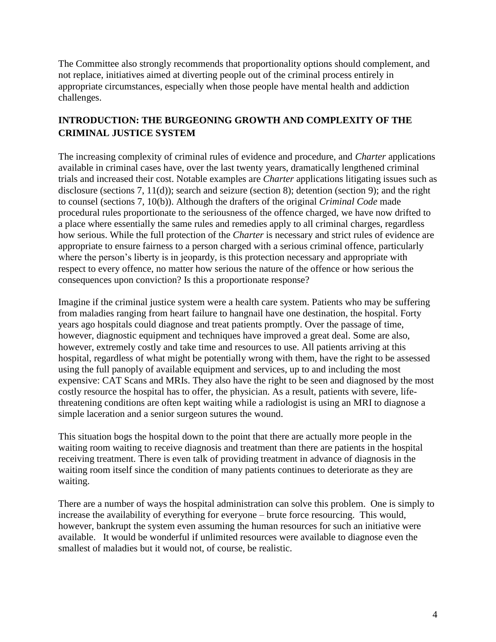The Committee also strongly recommends that proportionality options should complement, and not replace, initiatives aimed at diverting people out of the criminal process entirely in appropriate circumstances, especially when those people have mental health and addiction challenges.

### <span id="page-3-0"></span>**INTRODUCTION: THE BURGEONING GROWTH AND COMPLEXITY OF THE CRIMINAL JUSTICE SYSTEM**

The increasing complexity of criminal rules of evidence and procedure, and *Charter* applications available in criminal cases have, over the last twenty years, dramatically lengthened criminal trials and increased their cost. Notable examples are *Charter* applications litigating issues such as disclosure (sections 7, 11(d)); search and seizure (section 8); detention (section 9); and the right to counsel (sections 7, 10(b)). Although the drafters of the original *Criminal Code* made procedural rules proportionate to the seriousness of the offence charged, we have now drifted to a place where essentially the same rules and remedies apply to all criminal charges, regardless how serious. While the full protection of the *Charter* is necessary and strict rules of evidence are appropriate to ensure fairness to a person charged with a serious criminal offence, particularly where the person's liberty is in jeopardy, is this protection necessary and appropriate with respect to every offence, no matter how serious the nature of the offence or how serious the consequences upon conviction? Is this a proportionate response?

Imagine if the criminal justice system were a health care system. Patients who may be suffering from maladies ranging from heart failure to hangnail have one destination, the hospital. Forty years ago hospitals could diagnose and treat patients promptly. Over the passage of time, however, diagnostic equipment and techniques have improved a great deal. Some are also, however, extremely costly and take time and resources to use. All patients arriving at this hospital, regardless of what might be potentially wrong with them, have the right to be assessed using the full panoply of available equipment and services, up to and including the most expensive: CAT Scans and MRIs. They also have the right to be seen and diagnosed by the most costly resource the hospital has to offer, the physician. As a result, patients with severe, lifethreatening conditions are often kept waiting while a radiologist is using an MRI to diagnose a simple laceration and a senior surgeon sutures the wound.

This situation bogs the hospital down to the point that there are actually more people in the waiting room waiting to receive diagnosis and treatment than there are patients in the hospital receiving treatment. There is even talk of providing treatment in advance of diagnosis in the waiting room itself since the condition of many patients continues to deteriorate as they are waiting.

There are a number of ways the hospital administration can solve this problem. One is simply to increase the availability of everything for everyone – brute force resourcing. This would, however, bankrupt the system even assuming the human resources for such an initiative were available. It would be wonderful if unlimited resources were available to diagnose even the smallest of maladies but it would not, of course, be realistic.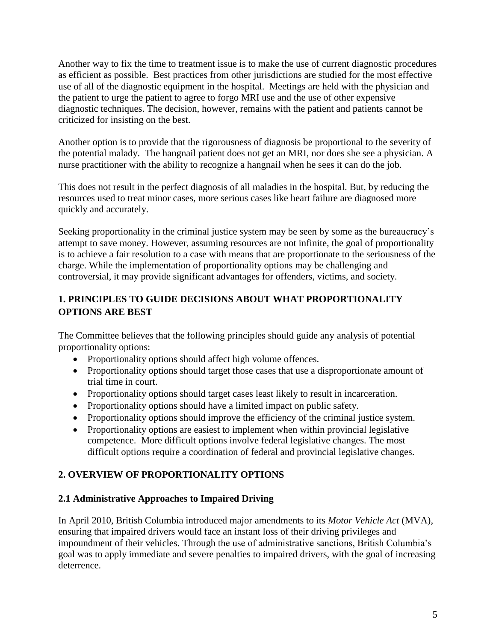Another way to fix the time to treatment issue is to make the use of current diagnostic procedures as efficient as possible. Best practices from other jurisdictions are studied for the most effective use of all of the diagnostic equipment in the hospital. Meetings are held with the physician and the patient to urge the patient to agree to forgo MRI use and the use of other expensive diagnostic techniques. The decision, however, remains with the patient and patients cannot be criticized for insisting on the best.

Another option is to provide that the rigorousness of diagnosis be proportional to the severity of the potential malady. The hangnail patient does not get an MRI, nor does she see a physician. A nurse practitioner with the ability to recognize a hangnail when he sees it can do the job.

This does not result in the perfect diagnosis of all maladies in the hospital. But, by reducing the resources used to treat minor cases, more serious cases like heart failure are diagnosed more quickly and accurately.

Seeking proportionality in the criminal justice system may be seen by some as the bureaucracy's attempt to save money. However, assuming resources are not infinite, the goal of proportionality is to achieve a fair resolution to a case with means that are proportionate to the seriousness of the charge. While the implementation of proportionality options may be challenging and controversial, it may provide significant advantages for offenders, victims, and society.

### <span id="page-4-0"></span>**1. PRINCIPLES TO GUIDE DECISIONS ABOUT WHAT PROPORTIONALITY OPTIONS ARE BEST**

The Committee believes that the following principles should guide any analysis of potential proportionality options:

- Proportionality options should affect high volume offences.
- Proportionality options should target those cases that use a disproportionate amount of trial time in court.
- Proportionality options should target cases least likely to result in incarceration.
- Proportionality options should have a limited impact on public safety.
- Proportionality options should improve the efficiency of the criminal justice system.
- Proportionality options are easiest to implement when within provincial legislative competence. More difficult options involve federal legislative changes. The most difficult options require a coordination of federal and provincial legislative changes.

### <span id="page-4-1"></span>**2. OVERVIEW OF PROPORTIONALITY OPTIONS**

#### <span id="page-4-2"></span>**2.1 Administrative Approaches to Impaired Driving**

In April 2010, British Columbia introduced major amendments to its *Motor Vehicle Act* (MVA), ensuring that impaired drivers would face an instant loss of their driving privileges and impoundment of their vehicles. Through the use of administrative sanctions, British Columbia's goal was to apply immediate and severe penalties to impaired drivers, with the goal of increasing deterrence.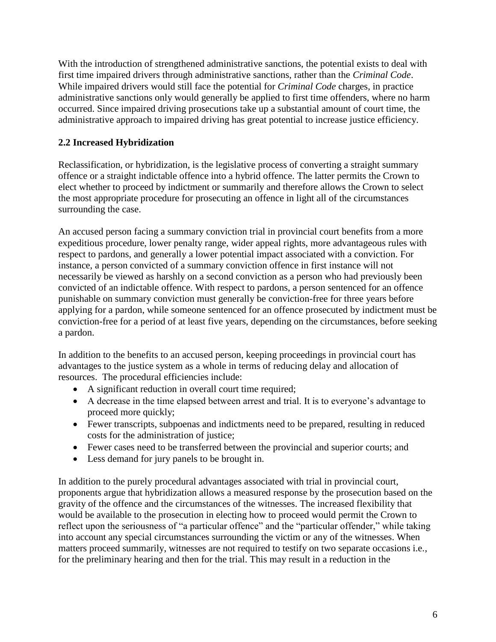With the introduction of strengthened administrative sanctions, the potential exists to deal with first time impaired drivers through administrative sanctions, rather than the *Criminal Code*. While impaired drivers would still face the potential for *Criminal Code* charges, in practice administrative sanctions only would generally be applied to first time offenders, where no harm occurred. Since impaired driving prosecutions take up a substantial amount of court time, the administrative approach to impaired driving has great potential to increase justice efficiency.

### <span id="page-5-0"></span>**2.2 Increased Hybridization**

Reclassification, or hybridization, is the legislative process of converting a straight summary offence or a straight indictable offence into a hybrid offence. The latter permits the Crown to elect whether to proceed by indictment or summarily and therefore allows the Crown to select the most appropriate procedure for prosecuting an offence in light all of the circumstances surrounding the case.

An accused person facing a summary conviction trial in provincial court benefits from a more expeditious procedure, lower penalty range, wider appeal rights, more advantageous rules with respect to pardons, and generally a lower potential impact associated with a conviction. For instance, a person convicted of a summary conviction offence in first instance will not necessarily be viewed as harshly on a second conviction as a person who had previously been convicted of an indictable offence. With respect to pardons, a person sentenced for an offence punishable on summary conviction must generally be conviction-free for three years before applying for a pardon, while someone sentenced for an offence prosecuted by indictment must be conviction-free for a period of at least five years, depending on the circumstances, before seeking a pardon.

In addition to the benefits to an accused person, keeping proceedings in provincial court has advantages to the justice system as a whole in terms of reducing delay and allocation of resources. The procedural efficiencies include:

- A significant reduction in overall court time required;
- A decrease in the time elapsed between arrest and trial. It is to everyone's advantage to proceed more quickly;
- Fewer transcripts, subpoenas and indictments need to be prepared, resulting in reduced costs for the administration of justice;
- Fewer cases need to be transferred between the provincial and superior courts; and
- Less demand for jury panels to be brought in.

In addition to the purely procedural advantages associated with trial in provincial court, proponents argue that hybridization allows a measured response by the prosecution based on the gravity of the offence and the circumstances of the witnesses. The increased flexibility that would be available to the prosecution in electing how to proceed would permit the Crown to reflect upon the seriousness of "a particular offence" and the "particular offender," while taking into account any special circumstances surrounding the victim or any of the witnesses. When matters proceed summarily, witnesses are not required to testify on two separate occasions i.e., for the preliminary hearing and then for the trial. This may result in a reduction in the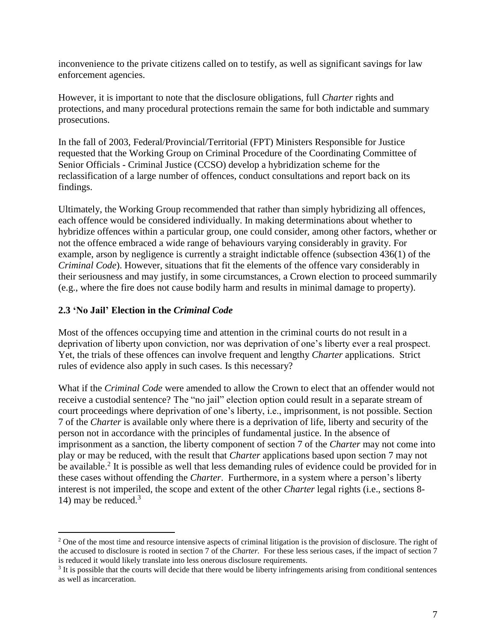inconvenience to the private citizens called on to testify, as well as significant savings for law enforcement agencies.

However, it is important to note that the disclosure obligations, full *Charter* rights and protections, and many procedural protections remain the same for both indictable and summary prosecutions.

In the fall of 2003, Federal/Provincial/Territorial (FPT) Ministers Responsible for Justice requested that the Working Group on Criminal Procedure of the Coordinating Committee of Senior Officials - Criminal Justice (CCSO) develop a hybridization scheme for the reclassification of a large number of offences, conduct consultations and report back on its findings.

Ultimately, the Working Group recommended that rather than simply hybridizing all offences, each offence would be considered individually. In making determinations about whether to hybridize offences within a particular group, one could consider, among other factors, whether or not the offence embraced a wide range of behaviours varying considerably in gravity. For example, arson by negligence is currently a straight indictable offence (subsection 436(1) of the *Criminal Code*). However, situations that fit the elements of the offence vary considerably in their seriousness and may justify, in some circumstances, a Crown election to proceed summarily (e.g., where the fire does not cause bodily harm and results in minimal damage to property).

#### <span id="page-6-0"></span>**2.3 'No Jail' Election in the** *Criminal Code*

 $\overline{a}$ 

Most of the offences occupying time and attention in the criminal courts do not result in a deprivation of liberty upon conviction, nor was deprivation of one's liberty ever a real prospect. Yet, the trials of these offences can involve frequent and lengthy *Charter* applications. Strict rules of evidence also apply in such cases. Is this necessary?

What if the *Criminal Code* were amended to allow the Crown to elect that an offender would not receive a custodial sentence? The "no jail" election option could result in a separate stream of court proceedings where deprivation of one's liberty, i.e., imprisonment, is not possible. Section 7 of the *Charter* is available only where there is a deprivation of life, liberty and security of the person not in accordance with the principles of fundamental justice. In the absence of imprisonment as a sanction, the liberty component of section 7 of the *Charter* may not come into play or may be reduced, with the result that *Charter* applications based upon section 7 may not be available.<sup>2</sup> It is possible as well that less demanding rules of evidence could be provided for in these cases without offending the *Charter*. Furthermore, in a system where a person's liberty interest is not imperiled, the scope and extent of the other *Charter* legal rights (i.e., sections 8- 14) may be reduced.<sup>3</sup>

 $2$  One of the most time and resource intensive aspects of criminal litigation is the provision of disclosure. The right of the accused to disclosure is rooted in section 7 of the *Charter.* For these less serious cases, if the impact of section 7 is reduced it would likely translate into less onerous disclosure requirements.

<sup>&</sup>lt;sup>3</sup> It is possible that the courts will decide that there would be liberty infringements arising from conditional sentences as well as incarceration.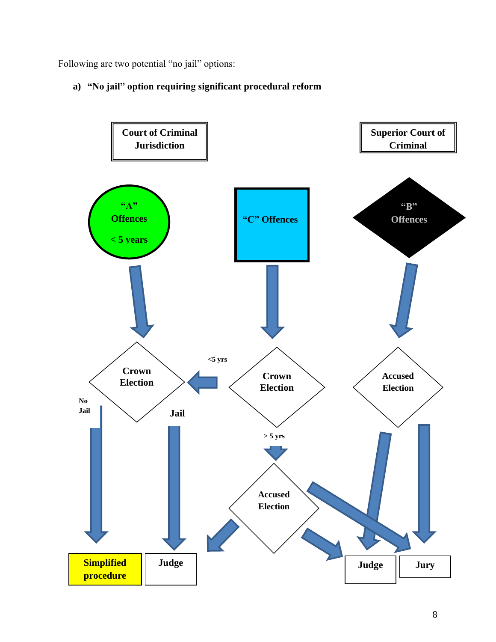Following are two potential "no jail" options:

### **a) "No jail" option requiring significant procedural reform**

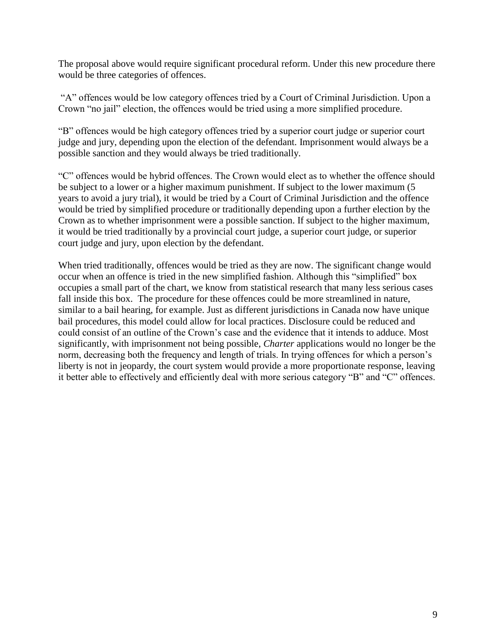The proposal above would require significant procedural reform. Under this new procedure there would be three categories of offences.

"A" offences would be low category offences tried by a Court of Criminal Jurisdiction. Upon a Crown "no jail" election, the offences would be tried using a more simplified procedure.

"B" offences would be high category offences tried by a superior court judge or superior court judge and jury, depending upon the election of the defendant. Imprisonment would always be a possible sanction and they would always be tried traditionally.

"C" offences would be hybrid offences. The Crown would elect as to whether the offence should be subject to a lower or a higher maximum punishment. If subject to the lower maximum (5 years to avoid a jury trial), it would be tried by a Court of Criminal Jurisdiction and the offence would be tried by simplified procedure or traditionally depending upon a further election by the Crown as to whether imprisonment were a possible sanction. If subject to the higher maximum, it would be tried traditionally by a provincial court judge, a superior court judge, or superior court judge and jury, upon election by the defendant.

When tried traditionally, offences would be tried as they are now. The significant change would occur when an offence is tried in the new simplified fashion. Although this "simplified" box occupies a small part of the chart, we know from statistical research that many less serious cases fall inside this box. The procedure for these offences could be more streamlined in nature, similar to a bail hearing, for example. Just as different jurisdictions in Canada now have unique bail procedures, this model could allow for local practices. Disclosure could be reduced and could consist of an outline of the Crown's case and the evidence that it intends to adduce. Most significantly, with imprisonment not being possible, *Charter* applications would no longer be the norm, decreasing both the frequency and length of trials. In trying offences for which a person's liberty is not in jeopardy, the court system would provide a more proportionate response, leaving it better able to effectively and efficiently deal with more serious category "B" and "C" offences.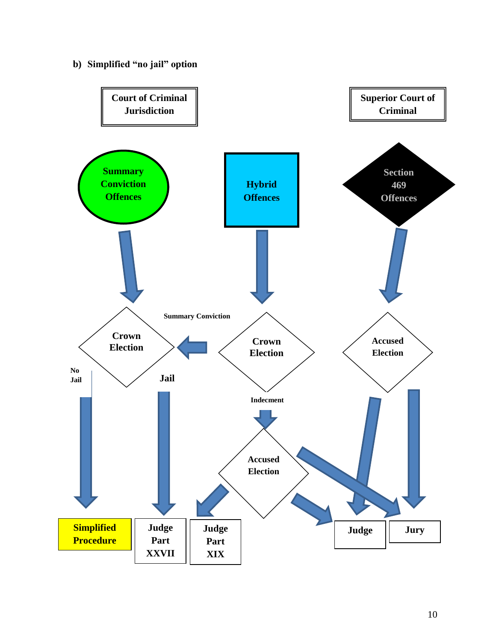**b) Simplified "no jail" option**

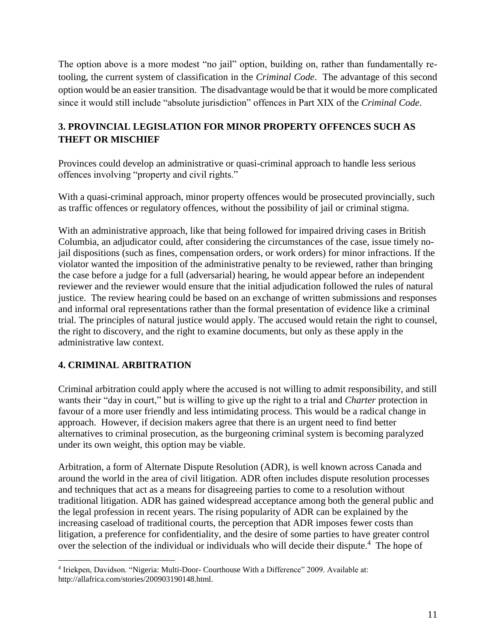The option above is a more modest "no jail" option, building on, rather than fundamentally retooling, the current system of classification in the *Criminal Code*. The advantage of this second option would be an easier transition. The disadvantage would be that it would be more complicated since it would still include "absolute jurisdiction" offences in Part XIX of the *Criminal Code*.

### <span id="page-10-0"></span>**3. PROVINCIAL LEGISLATION FOR MINOR PROPERTY OFFENCES SUCH AS THEFT OR MISCHIEF**

Provinces could develop an administrative or quasi-criminal approach to handle less serious offences involving "property and civil rights."

With a quasi-criminal approach, minor property offences would be prosecuted provincially, such as traffic offences or regulatory offences, without the possibility of jail or criminal stigma.

With an administrative approach, like that being followed for impaired driving cases in British Columbia, an adjudicator could, after considering the circumstances of the case, issue timely nojail dispositions (such as fines, compensation orders, or work orders) for minor infractions. If the violator wanted the imposition of the administrative penalty to be reviewed, rather than bringing the case before a judge for a full (adversarial) hearing, he would appear before an independent reviewer and the reviewer would ensure that the initial adjudication followed the rules of natural justice. The review hearing could be based on an exchange of written submissions and responses and informal oral representations rather than the formal presentation of evidence like a criminal trial. The principles of natural justice would apply. The accused would retain the right to counsel, the right to discovery, and the right to examine documents, but only as these apply in the administrative law context.

### <span id="page-10-1"></span>**4. CRIMINAL ARBITRATION**

Criminal arbitration could apply where the accused is not willing to admit responsibility, and still wants their "day in court," but is willing to give up the right to a trial and *Charter* protection in favour of a more user friendly and less intimidating process. This would be a radical change in approach. However, if decision makers agree that there is an urgent need to find better alternatives to criminal prosecution, as the burgeoning criminal system is becoming paralyzed under its own weight, this option may be viable.

Arbitration, a form of Alternate Dispute Resolution (ADR), is well known across Canada and around the world in the area of civil litigation. ADR often includes [dispute resolution](http://en.wikipedia.org/wiki/Dispute_resolution) processes and techniques that act as a means for disagreeing parties to come to a resolution without traditional [litigation.](http://en.wikipedia.org/wiki/Litigation) ADR has gained widespread acceptance among both the general public and the [legal profession](http://en.wikipedia.org/wiki/Legal_profession) in recent years. The rising popularity of ADR can be explained by the increasing caseload of traditional courts, the perception that ADR imposes fewer costs than [litigation,](http://en.wikipedia.org/wiki/Litigation) a preference for confidentiality, and the desire of some parties to have greater control over the selection of the individual or individuals who will decide their dispute.<sup>4</sup> The hope of

 $\overline{a}$ 4 Iriekpen, Davidson. ["Nigeria:](http://allafrica.com/nigeria/) Multi-Door- Courthouse With a Difference" 2009. Available at: http://allafrica.com/stories/200903190148.html.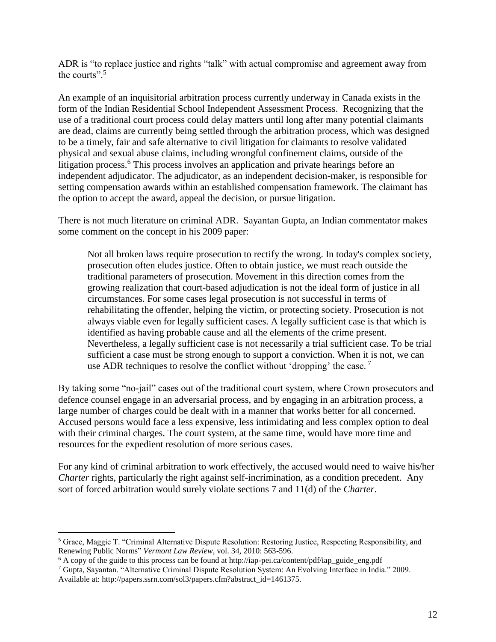ADR is "to replace justice and rights "talk" with actual compromise and agreement away from the courts"<sup>5</sup>

An example of an inquisitorial arbitration process currently underway in Canada exists in the form of the Indian Residential School Independent Assessment Process. Recognizing that the use of a traditional court process could delay matters until long after many potential claimants are dead, claims are currently being settled through the arbitration process, which was designed to be a timely, fair and safe alternative to civil litigation for claimants to resolve validated physical and sexual abuse claims, including wrongful confinement claims, outside of the litigation process.<sup>6</sup> This process involves an application and private hearings before an independent adjudicator. The adjudicator, as an independent decision-maker, is responsible for setting compensation awards within an established compensation framework. The claimant has the option to accept the award, appeal the decision, or pursue litigation.

There is not much literature on criminal ADR. Sayantan Gupta, an Indian commentator makes some comment on the concept in his 2009 paper:

Not all broken laws require prosecution to rectify the wrong. In today's complex society, prosecution often eludes justice. Often to obtain justice, we must reach outside the traditional parameters of prosecution. Movement in this direction comes from the growing realization that court-based adjudication is not the ideal form of justice in all circumstances. For some cases legal prosecution is not successful in terms of rehabilitating the offender, helping the victim, or protecting society. Prosecution is not always viable even for legally sufficient cases. A legally sufficient case is that which is identified as having probable cause and all the elements of the crime present. Nevertheless, a legally sufficient case is not necessarily a trial sufficient case. To be trial sufficient a case must be strong enough to support a conviction. When it is not, we can use ADR techniques to resolve the conflict without 'dropping' the case.<sup>7</sup>

By taking some "no-jail" cases out of the traditional court system, where Crown prosecutors and defence counsel engage in an adversarial process, and by engaging in an arbitration process, a large number of charges could be dealt with in a manner that works better for all concerned. Accused persons would face a less expensive, less intimidating and less complex option to deal with their criminal charges. The court system, at the same time, would have more time and resources for the expedient resolution of more serious cases.

For any kind of criminal arbitration to work effectively, the accused would need to waive his/her *Charter rights, particularly the right against self-incrimination, as a condition precedent. Any* sort of forced arbitration would surely violate sections 7 and 11(d) of the *Charter*.

<span id="page-11-0"></span> $\overline{a}$ 

<sup>5</sup> Grace, Maggie T. "Criminal Alternative Dispute Resolution: Restoring Justice, Respecting Responsibility, and Renewing Public Norms" *Vermont Law Review*, vol. 34, 2010: 563-596.

 $6$  A copy of the guide to this process can be found at http://iap-pei.ca/content/pdf/iap\_guide\_eng.pdf

<sup>7</sup> Gupta, Sayantan. "Alternative Criminal Dispute Resolution System: An Evolving Interface in India." 2009. Available at: http://papers.ssrn.com/sol3/papers.cfm?abstract\_id=1461375.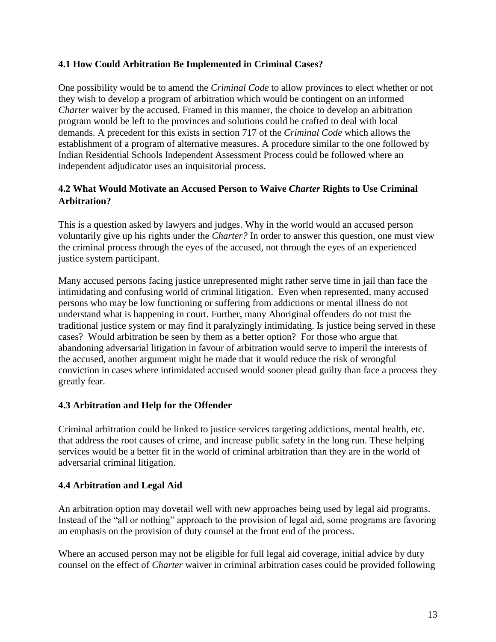#### **4.1 How Could Arbitration Be Implemented in Criminal Cases?**

One possibility would be to amend the *Criminal Code* to allow provinces to elect whether or not they wish to develop a program of arbitration which would be contingent on an informed *Charter* waiver by the accused. Framed in this manner, the choice to develop an arbitration program would be left to the provinces and solutions could be crafted to deal with local demands. A precedent for this exists in section 717 of the *Criminal Code* which allows the establishment of a program of alternative measures. A procedure similar to the one followed by Indian Residential Schools Independent Assessment Process could be followed where an independent adjudicator uses an inquisitorial process.

#### <span id="page-12-0"></span>**4.2 What Would Motivate an Accused Person to Waive** *Charter* **Rights to Use Criminal Arbitration?**

This is a question asked by lawyers and judges. Why in the world would an accused person voluntarily give up his rights under the *Charter?* In order to answer this question, one must view the criminal process through the eyes of the accused, not through the eyes of an experienced justice system participant.

Many accused persons facing justice unrepresented might rather serve time in jail than face the intimidating and confusing world of criminal litigation. Even when represented, many accused persons who may be low functioning or suffering from addictions or mental illness do not understand what is happening in court. Further, many Aboriginal offenders do not trust the traditional justice system or may find it paralyzingly intimidating. Is justice being served in these cases? Would arbitration be seen by them as a better option? For those who argue that abandoning adversarial litigation in favour of arbitration would serve to imperil the interests of the accused, another argument might be made that it would reduce the risk of wrongful conviction in cases where intimidated accused would sooner plead guilty than face a process they greatly fear.

### <span id="page-12-1"></span>**4.3 Arbitration and Help for the Offender**

Criminal arbitration could be linked to justice services targeting addictions, mental health, etc. that address the root causes of crime, and increase public safety in the long run. These helping services would be a better fit in the world of criminal arbitration than they are in the world of adversarial criminal litigation.

#### <span id="page-12-2"></span>**4.4 Arbitration and Legal Aid**

An arbitration option may dovetail well with new approaches being used by legal aid programs. Instead of the "all or nothing" approach to the provision of legal aid, some programs are favoring an emphasis on the provision of duty counsel at the front end of the process.

Where an accused person may not be eligible for full legal aid coverage, initial advice by duty counsel on the effect of *Charter* waiver in criminal arbitration cases could be provided following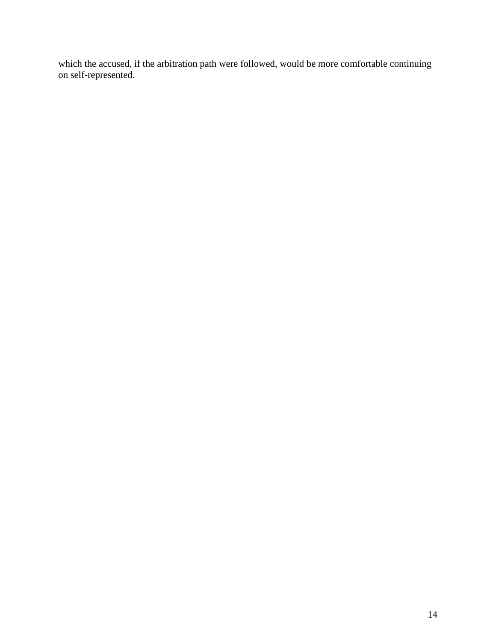which the accused, if the arbitration path were followed, would be more comfortable continuing on self-represented.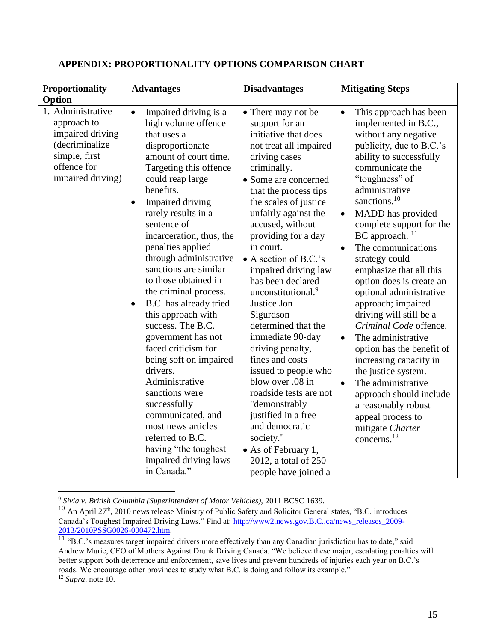| <b>Proportionality</b>                                                                                                      | <b>Advantages</b>                                                                                                                                                                                                                                                                                                                                                                                                                                                                                                                                                                 | <b>Disadvantages</b>                                                                                                                                                                                                                                                                                                                                                                                                                                                                                                                            | <b>Mitigating Steps</b>                                                                                                                                                                                                                                                                                                                                                                                                                                                                                                                                                                                          |
|-----------------------------------------------------------------------------------------------------------------------------|-----------------------------------------------------------------------------------------------------------------------------------------------------------------------------------------------------------------------------------------------------------------------------------------------------------------------------------------------------------------------------------------------------------------------------------------------------------------------------------------------------------------------------------------------------------------------------------|-------------------------------------------------------------------------------------------------------------------------------------------------------------------------------------------------------------------------------------------------------------------------------------------------------------------------------------------------------------------------------------------------------------------------------------------------------------------------------------------------------------------------------------------------|------------------------------------------------------------------------------------------------------------------------------------------------------------------------------------------------------------------------------------------------------------------------------------------------------------------------------------------------------------------------------------------------------------------------------------------------------------------------------------------------------------------------------------------------------------------------------------------------------------------|
| Option                                                                                                                      |                                                                                                                                                                                                                                                                                                                                                                                                                                                                                                                                                                                   |                                                                                                                                                                                                                                                                                                                                                                                                                                                                                                                                                 |                                                                                                                                                                                                                                                                                                                                                                                                                                                                                                                                                                                                                  |
| 1. Administrative<br>approach to<br>impaired driving<br>(decriminalize<br>simple, first<br>offence for<br>impaired driving) | Impaired driving is a<br>$\bullet$<br>high volume offence<br>that uses a<br>disproportionate<br>amount of court time.<br>Targeting this offence<br>could reap large<br>benefits.                                                                                                                                                                                                                                                                                                                                                                                                  | • There may not be<br>support for an<br>initiative that does<br>not treat all impaired<br>driving cases<br>criminally.<br>• Some are concerned<br>that the process tips                                                                                                                                                                                                                                                                                                                                                                         | This approach has been<br>$\bullet$<br>implemented in B.C.,<br>without any negative<br>publicity, due to B.C.'s<br>ability to successfully<br>communicate the<br>"toughness" of<br>administrative                                                                                                                                                                                                                                                                                                                                                                                                                |
|                                                                                                                             | Impaired driving<br>$\bullet$<br>rarely results in a<br>sentence of<br>incarceration, thus, the<br>penalties applied<br>through administrative<br>sanctions are similar<br>to those obtained in<br>the criminal process.<br>B.C. has already tried<br>$\bullet$<br>this approach with<br>success. The B.C.<br>government has not<br>faced criticism for<br>being soft on impaired<br>drivers.<br>Administrative<br>sanctions were<br>successfully<br>communicated, and<br>most news articles<br>referred to B.C.<br>having "the toughest"<br>impaired driving laws<br>in Canada." | the scales of justice<br>unfairly against the<br>accused, without<br>providing for a day<br>in court.<br>• A section of B.C.'s<br>impaired driving law<br>has been declared<br>unconstitutional. <sup>9</sup><br>Justice Jon<br>Sigurdson<br>determined that the<br>immediate 90-day<br>driving penalty,<br>fines and costs<br>issued to people who<br>blow over .08 in<br>roadside tests are not<br>"demonstrably<br>justified in a free<br>and democratic<br>society."<br>• As of February 1,<br>2012, a total of 250<br>people have joined a | sanctions. <sup>10</sup><br>MADD has provided<br>$\bullet$<br>complete support for the<br>BC approach. <sup>11</sup><br>The communications<br>$\bullet$<br>strategy could<br>emphasize that all this<br>option does is create an<br>optional administrative<br>approach; impaired<br>driving will still be a<br>Criminal Code offence.<br>The administrative<br>$\bullet$<br>option has the benefit of<br>increasing capacity in<br>the justice system.<br>The administrative<br>$\bullet$<br>approach should include<br>a reasonably robust<br>appeal process to<br>mitigate Charter<br>concerns. <sup>12</sup> |

#### <span id="page-14-0"></span>**APPENDIX: PROPORTIONALITY OPTIONS COMPARISON CHART**

 $\overline{a}$ 

<sup>9</sup> *Sivia v. British Columbia (Superintendent of Motor Vehicles),* 2011 BCSC 1639.

<sup>&</sup>lt;sup>10</sup> An April 27<sup>th</sup>, 2010 news release Ministry of Public Safety and Solicitor General states, "B.C. introduces Canada's Toughest Impaired Driving Laws." Find at: [http://www2.news.gov.B.C..ca/news\\_releases\\_2009-](http://www2.news.gov.bc.ca/news_releases_2009-2013/2010PSSG0026-000472.htm) [2013/2010PSSG0026-000472.htm.](http://www2.news.gov.bc.ca/news_releases_2009-2013/2010PSSG0026-000472.htm)

 $11$  "B.C.'s measures target impaired drivers more effectively than any Canadian jurisdiction has to date," said Andrew Murie, CEO of Mothers Against Drunk Driving Canada. "We believe these major, escalating penalties will better support both deterrence and enforcement, save lives and prevent hundreds of injuries each year on B.C.'s roads. We encourage other provinces to study what B.C. is doing and follow its example."

<sup>12</sup> *Supra,* note 10.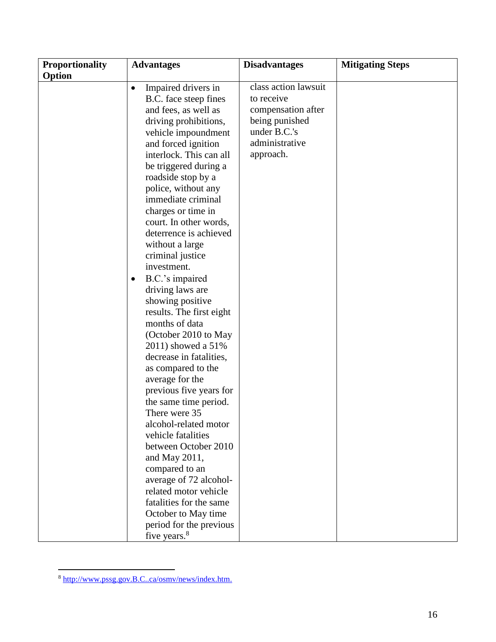$\overline{a}$ 

<sup>8</sup> http://www.pssg.gov.B.C..ca/osmy/news/index.htm.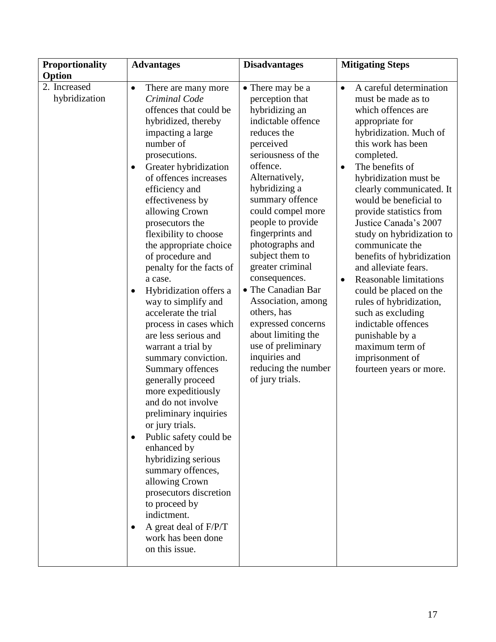| <b>Proportionality</b>        | <b>Advantages</b>                                                                                                                                                                                                                                                                                                                                                                                                                                                                                                                                                                                                                                                                                                                                                                                                                                                                                                                                                                  | <b>Disadvantages</b>                                                                                                                                                                                                                                                                                                                                                                                                                                                                                                             | <b>Mitigating Steps</b>                                                                                                                                                                                                                                                                                                                                                                                                                                                                                                                                                                                                                                                      |
|-------------------------------|------------------------------------------------------------------------------------------------------------------------------------------------------------------------------------------------------------------------------------------------------------------------------------------------------------------------------------------------------------------------------------------------------------------------------------------------------------------------------------------------------------------------------------------------------------------------------------------------------------------------------------------------------------------------------------------------------------------------------------------------------------------------------------------------------------------------------------------------------------------------------------------------------------------------------------------------------------------------------------|----------------------------------------------------------------------------------------------------------------------------------------------------------------------------------------------------------------------------------------------------------------------------------------------------------------------------------------------------------------------------------------------------------------------------------------------------------------------------------------------------------------------------------|------------------------------------------------------------------------------------------------------------------------------------------------------------------------------------------------------------------------------------------------------------------------------------------------------------------------------------------------------------------------------------------------------------------------------------------------------------------------------------------------------------------------------------------------------------------------------------------------------------------------------------------------------------------------------|
| Option                        |                                                                                                                                                                                                                                                                                                                                                                                                                                                                                                                                                                                                                                                                                                                                                                                                                                                                                                                                                                                    |                                                                                                                                                                                                                                                                                                                                                                                                                                                                                                                                  |                                                                                                                                                                                                                                                                                                                                                                                                                                                                                                                                                                                                                                                                              |
| 2. Increased<br>hybridization | There are many more<br>$\bullet$<br>Criminal Code<br>offences that could be<br>hybridized, thereby<br>impacting a large<br>number of<br>prosecutions.<br>Greater hybridization<br>$\bullet$<br>of offences increases<br>efficiency and<br>effectiveness by<br>allowing Crown<br>prosecutors the<br>flexibility to choose<br>the appropriate choice<br>of procedure and<br>penalty for the facts of<br>a case.<br>Hybridization offers a<br>way to simplify and<br>accelerate the trial<br>process in cases which<br>are less serious and<br>warrant a trial by<br>summary conviction.<br>Summary offences<br>generally proceed<br>more expeditiously<br>and do not involve<br>preliminary inquiries<br>or jury trials.<br>Public safety could be<br>$\bullet$<br>enhanced by<br>hybridizing serious<br>summary offences,<br>allowing Crown<br>prosecutors discretion<br>to proceed by<br>indictment.<br>A great deal of F/P/T<br>$\bullet$<br>work has been done<br>on this issue. | • There may be a<br>perception that<br>hybridizing an<br>indictable offence<br>reduces the<br>perceived<br>seriousness of the<br>offence.<br>Alternatively,<br>hybridizing a<br>summary offence<br>could compel more<br>people to provide<br>fingerprints and<br>photographs and<br>subject them to<br>greater criminal<br>consequences.<br>• The Canadian Bar<br>Association, among<br>others, has<br>expressed concerns<br>about limiting the<br>use of preliminary<br>inquiries and<br>reducing the number<br>of jury trials. | A careful determination<br>$\bullet$<br>must be made as to<br>which offences are<br>appropriate for<br>hybridization. Much of<br>this work has been<br>completed.<br>The benefits of<br>$\bullet$<br>hybridization must be<br>clearly communicated. It<br>would be beneficial to<br>provide statistics from<br>Justice Canada's 2007<br>study on hybridization to<br>communicate the<br>benefits of hybridization<br>and alleviate fears.<br><b>Reasonable limitations</b><br>$\bullet$<br>could be placed on the<br>rules of hybridization,<br>such as excluding<br>indictable offences<br>punishable by a<br>maximum term of<br>imprisonment of<br>fourteen years or more. |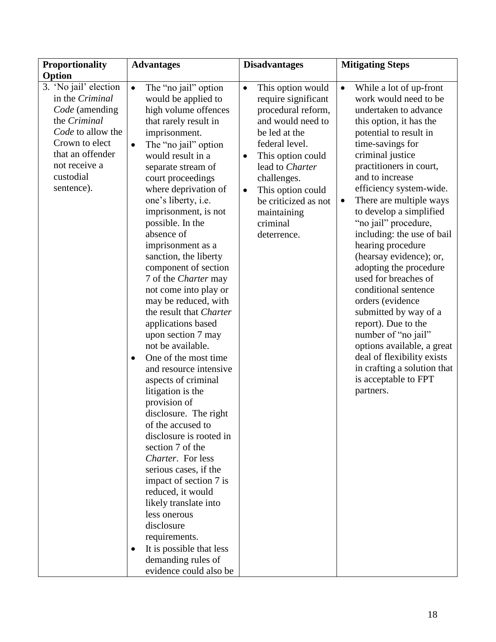| <b>Proportionality</b><br><b>Disadvantages</b><br><b>Mitigating Steps</b><br><b>Advantages</b>                                       |  |
|--------------------------------------------------------------------------------------------------------------------------------------|--|
| Option                                                                                                                               |  |
| 3. 'No jail' election<br>The "no jail" option<br>This option would<br>$\bullet$<br>While a lot of up-front<br>$\bullet$<br>$\bullet$ |  |
| in the Criminal<br>would be applied to<br>require significant<br>work would need to be                                               |  |
| Code (amending<br>high volume offences<br>procedural reform,<br>undertaken to advance                                                |  |
| the Criminal<br>and would need to<br>that rarely result in<br>this option, it has the                                                |  |
| Code to allow the<br>imprisonment.<br>be led at the<br>potential to result in                                                        |  |
| Crown to elect<br>federal level.<br>time-savings for<br>The "no jail" option<br>$\bullet$                                            |  |
| that an offender<br>criminal justice<br>would result in a<br>This option could<br>$\bullet$                                          |  |
| not receive a<br>practitioners in court,<br>lead to Charter<br>separate stream of                                                    |  |
| custodial<br>and to increase<br>court proceedings<br>challenges.                                                                     |  |
| sentence).<br>efficiency system-wide.<br>where deprivation of<br>This option could<br>$\bullet$                                      |  |
| one's liberty, i.e.<br>There are multiple ways<br>be criticized as not<br>$\bullet$                                                  |  |
| imprisonment, is not<br>to develop a simplified<br>maintaining                                                                       |  |
| possible. In the<br>"no jail" procedure,<br>criminal                                                                                 |  |
| absence of<br>including: the use of bail<br>deterrence.                                                                              |  |
| imprisonment as a<br>hearing procedure                                                                                               |  |
| sanction, the liberty<br>(hearsay evidence); or,                                                                                     |  |
| component of section<br>adopting the procedure                                                                                       |  |
| 7 of the <i>Charter</i> may<br>used for breaches of                                                                                  |  |
| not come into play or<br>conditional sentence                                                                                        |  |
| may be reduced, with<br>orders (evidence                                                                                             |  |
| the result that Charter<br>submitted by way of a                                                                                     |  |
| report). Due to the<br>applications based                                                                                            |  |
| upon section 7 may<br>number of "no jail"                                                                                            |  |
| not be available.<br>options available, a great                                                                                      |  |
| deal of flexibility exists<br>One of the most time<br>$\bullet$                                                                      |  |
| in crafting a solution that<br>and resource intensive                                                                                |  |
| is acceptable to FPT<br>aspects of criminal                                                                                          |  |
| litigation is the<br>partners.                                                                                                       |  |
| provision of                                                                                                                         |  |
| disclosure. The right                                                                                                                |  |
| of the accused to                                                                                                                    |  |
| disclosure is rooted in<br>section 7 of the                                                                                          |  |
| Charter. For less                                                                                                                    |  |
| serious cases, if the                                                                                                                |  |
| impact of section 7 is                                                                                                               |  |
| reduced, it would                                                                                                                    |  |
| likely translate into                                                                                                                |  |
| less onerous                                                                                                                         |  |
| disclosure                                                                                                                           |  |
| requirements.                                                                                                                        |  |
| It is possible that less<br>$\bullet$                                                                                                |  |
| demanding rules of                                                                                                                   |  |
| evidence could also be                                                                                                               |  |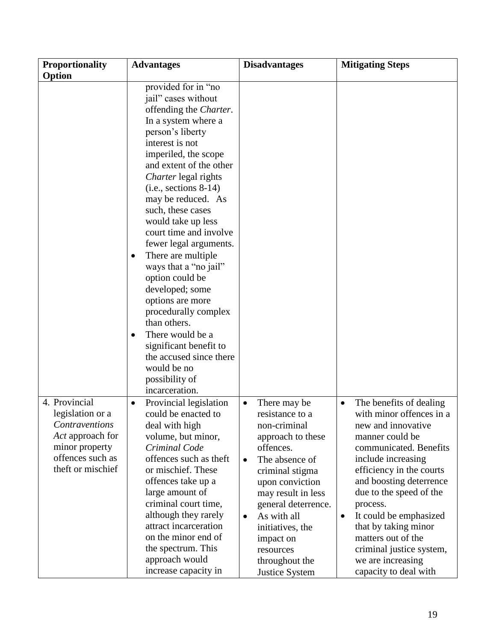| Proportionality                                                                                                                           |                                                                                                                                                                                                                                                                                                                                                                                                                                                                                                                                                                                                                                                                 |                                                                                                                                                                                                                                                                                                                                       |                                                                                                                                                                                                                                                                                                                                                                                                                        |
|-------------------------------------------------------------------------------------------------------------------------------------------|-----------------------------------------------------------------------------------------------------------------------------------------------------------------------------------------------------------------------------------------------------------------------------------------------------------------------------------------------------------------------------------------------------------------------------------------------------------------------------------------------------------------------------------------------------------------------------------------------------------------------------------------------------------------|---------------------------------------------------------------------------------------------------------------------------------------------------------------------------------------------------------------------------------------------------------------------------------------------------------------------------------------|------------------------------------------------------------------------------------------------------------------------------------------------------------------------------------------------------------------------------------------------------------------------------------------------------------------------------------------------------------------------------------------------------------------------|
|                                                                                                                                           |                                                                                                                                                                                                                                                                                                                                                                                                                                                                                                                                                                                                                                                                 |                                                                                                                                                                                                                                                                                                                                       |                                                                                                                                                                                                                                                                                                                                                                                                                        |
| Option                                                                                                                                    | <b>Advantages</b><br>provided for in "no<br>jail" cases without<br>offending the Charter.<br>In a system where a<br>person's liberty<br>interest is not<br>imperiled, the scope<br>and extent of the other<br>Charter legal rights<br>$(i.e., sections 8-14)$<br>may be reduced. As<br>such, these cases<br>would take up less<br>court time and involve<br>fewer legal arguments.<br>There are multiple<br>٠<br>ways that a "no jail"<br>option could be<br>developed; some<br>options are more<br>procedurally complex<br>than others.<br>There would be a<br>$\bullet$<br>significant benefit to<br>the accused since there<br>would be no<br>possibility of | <b>Disadvantages</b>                                                                                                                                                                                                                                                                                                                  | <b>Mitigating Steps</b>                                                                                                                                                                                                                                                                                                                                                                                                |
|                                                                                                                                           | incarceration.                                                                                                                                                                                                                                                                                                                                                                                                                                                                                                                                                                                                                                                  |                                                                                                                                                                                                                                                                                                                                       |                                                                                                                                                                                                                                                                                                                                                                                                                        |
| 4. Provincial<br>legislation or a<br><b>Contraventions</b><br>Act approach for<br>minor property<br>offences such as<br>theft or mischief | Provincial legislation<br>$\bullet$<br>could be enacted to<br>deal with high<br>volume, but minor,<br>Criminal Code<br>offences such as theft<br>or mischief. These<br>offences take up a<br>large amount of<br>criminal court time,<br>although they rarely<br>attract incarceration<br>on the minor end of<br>the spectrum. This<br>approach would<br>increase capacity in                                                                                                                                                                                                                                                                                    | There may be<br>$\bullet$<br>resistance to a<br>non-criminal<br>approach to these<br>offences.<br>The absence of<br>$\bullet$<br>criminal stigma<br>upon conviction<br>may result in less<br>general deterrence.<br>As with all<br>$\bullet$<br>initiatives, the<br>impact on<br>resources<br>throughout the<br><b>Justice System</b> | The benefits of dealing<br>$\bullet$<br>with minor offences in a<br>new and innovative<br>manner could be<br>communicated. Benefits<br>include increasing<br>efficiency in the courts<br>and boosting deterrence<br>due to the speed of the<br>process.<br>It could be emphasized<br>$\bullet$<br>that by taking minor<br>matters out of the<br>criminal justice system,<br>we are increasing<br>capacity to deal with |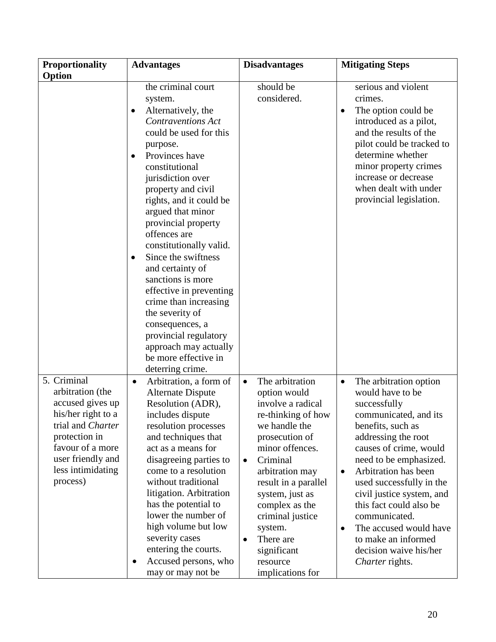| <b>Proportionality</b>                                                                                                                                                                    | <b>Advantages</b>                                                                                                                                                                                                                                                                                                                                                                                                                                                                                                                                                                                              | <b>Disadvantages</b>                                                                                                                                                                                                                                                                                                                                           | <b>Mitigating Steps</b>                                                                                                                                                                                                                                                                                                                                                                                                                       |
|-------------------------------------------------------------------------------------------------------------------------------------------------------------------------------------------|----------------------------------------------------------------------------------------------------------------------------------------------------------------------------------------------------------------------------------------------------------------------------------------------------------------------------------------------------------------------------------------------------------------------------------------------------------------------------------------------------------------------------------------------------------------------------------------------------------------|----------------------------------------------------------------------------------------------------------------------------------------------------------------------------------------------------------------------------------------------------------------------------------------------------------------------------------------------------------------|-----------------------------------------------------------------------------------------------------------------------------------------------------------------------------------------------------------------------------------------------------------------------------------------------------------------------------------------------------------------------------------------------------------------------------------------------|
| Option                                                                                                                                                                                    |                                                                                                                                                                                                                                                                                                                                                                                                                                                                                                                                                                                                                |                                                                                                                                                                                                                                                                                                                                                                |                                                                                                                                                                                                                                                                                                                                                                                                                                               |
|                                                                                                                                                                                           | the criminal court<br>system.<br>Alternatively, the<br>٠<br><b>Contraventions Act</b><br>could be used for this<br>purpose.<br>Provinces have<br>$\bullet$<br>constitutional<br>jurisdiction over<br>property and civil<br>rights, and it could be<br>argued that minor<br>provincial property<br>offences are<br>constitutionally valid.<br>Since the swiftness<br>$\bullet$<br>and certainty of<br>sanctions is more<br>effective in preventing<br>crime than increasing<br>the severity of<br>consequences, a<br>provincial regulatory<br>approach may actually<br>be more effective in<br>deterring crime. | should be<br>considered.                                                                                                                                                                                                                                                                                                                                       | serious and violent<br>crimes.<br>The option could be<br>٠<br>introduced as a pilot,<br>and the results of the<br>pilot could be tracked to<br>determine whether<br>minor property crimes<br>increase or decrease<br>when dealt with under<br>provincial legislation.                                                                                                                                                                         |
| 5. Criminal<br>arbitration (the<br>accused gives up<br>his/her right to a<br>trial and Charter<br>protection in<br>favour of a more<br>user friendly and<br>less intimidating<br>process) | Arbitration, a form of<br>$\bullet$<br><b>Alternate Dispute</b><br>Resolution (ADR),<br>includes dispute<br>resolution processes<br>and techniques that<br>act as a means for<br>disagreeing parties to<br>come to a resolution<br>without traditional<br>litigation. Arbitration<br>has the potential to<br>lower the number of<br>high volume but low<br>severity cases<br>entering the courts.<br>Accused persons, who<br>٠<br>may or may not be                                                                                                                                                            | The arbitration<br>$\bullet$<br>option would<br>involve a radical<br>re-thinking of how<br>we handle the<br>prosecution of<br>minor offences.<br>Criminal<br>$\bullet$<br>arbitration may<br>result in a parallel<br>system, just as<br>complex as the<br>criminal justice<br>system.<br>There are<br>$\bullet$<br>significant<br>resource<br>implications for | The arbitration option<br>$\bullet$<br>would have to be<br>successfully<br>communicated, and its<br>benefits, such as<br>addressing the root<br>causes of crime, would<br>need to be emphasized.<br>Arbitration has been<br>$\bullet$<br>used successfully in the<br>civil justice system, and<br>this fact could also be<br>communicated.<br>The accused would have<br>٠<br>to make an informed<br>decision waive his/her<br>Charter rights. |